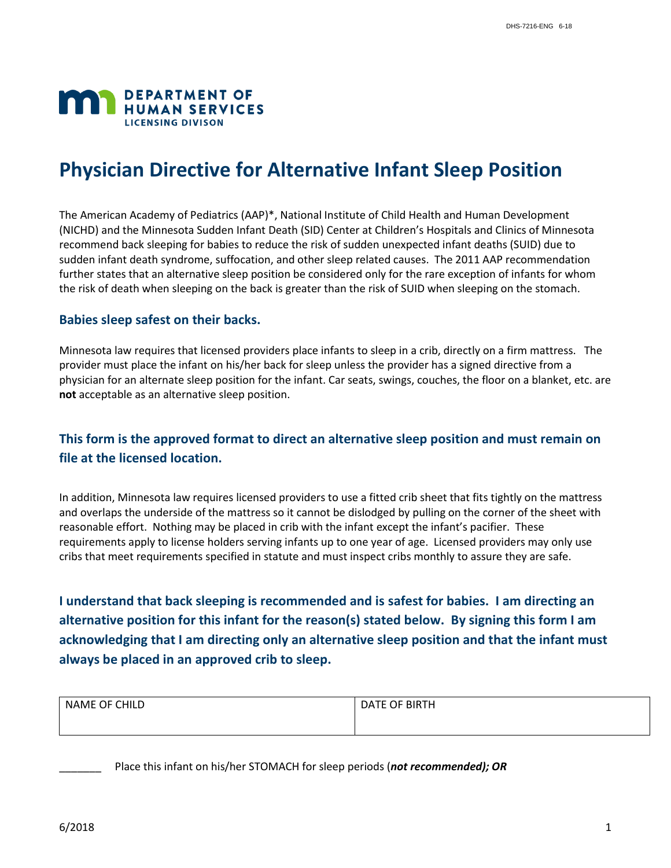

# **Physician Directive for Alternative Infant Sleep Position**

The American Academy of Pediatrics (AAP)\*, National Institute of Child Health and Human Development (NICHD) and the Minnesota Sudden Infant Death (SID) Center at Children's Hospitals and Clinics of Minnesota recommend back sleeping for babies to reduce the risk of sudden unexpected infant deaths (SUID) due to sudden infant death syndrome, suffocation, and other sleep related causes. The 2011 AAP recommendation further states that an alternative sleep position be considered only for the rare exception of infants for whom the risk of death when sleeping on the back is greater than the risk of SUID when sleeping on the stomach.

### **Babies sleep safest on their backs.**

Minnesota law requires that licensed providers place infants to sleep in a crib, directly on a firm mattress. The provider must place the infant on his/her back for sleep unless the provider has a signed directive from a physician for an alternate sleep position for the infant. Car seats, swings, couches, the floor on a blanket, etc. are **not** acceptable as an alternative sleep position.

# **This form is the approved format to direct an alternative sleep position and must remain on file at the licensed location.**

In addition, Minnesota law requires licensed providers to use a fitted crib sheet that fits tightly on the mattress and overlaps the underside of the mattress so it cannot be dislodged by pulling on the corner of the sheet with reasonable effort. Nothing may be placed in crib with the infant except the infant's pacifier. These requirements apply to license holders serving infants up to one year of age. Licensed providers may only use cribs that meet requirements specified in statute and must inspect cribs monthly to assure they are safe.

**I understand that back sleeping is recommended and is safest for babies. I am directing an alternative position for this infant for the reason(s) stated below. By signing this form I am acknowledging that I am directing only an alternative sleep position and that the infant must always be placed in an approved crib to sleep.** 

| OF CHILD<br>NAME | DATE OF BIRTH |
|------------------|---------------|
|                  |               |

\_\_\_\_\_\_\_ Place this infant on his/her STOMACH for sleep periods (*not recommended); OR*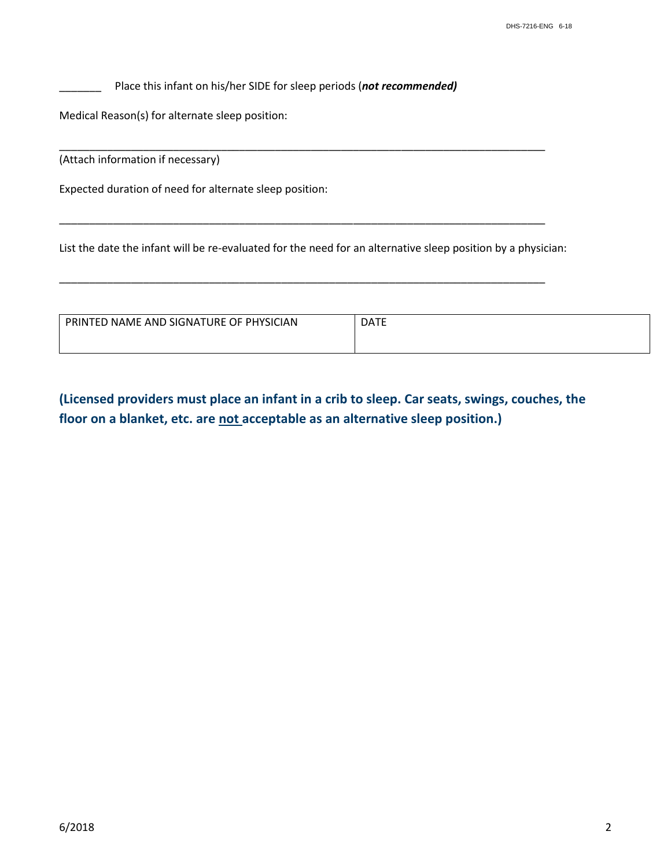\_\_\_\_\_\_\_ Place this infant on his/her SIDE for sleep periods (*not recommended)*

Medical Reason(s) for alternate sleep position:

(Attach information if necessary)

Expected duration of need for alternate sleep position:

List the date the infant will be re-evaluated for the need for an alternative sleep position by a physician:

\_\_\_\_\_\_\_\_\_\_\_\_\_\_\_\_\_\_\_\_\_\_\_\_\_\_\_\_\_\_\_\_\_\_\_\_\_\_\_\_\_\_\_\_\_\_\_\_\_\_\_\_\_\_\_\_\_\_\_\_\_\_\_\_\_\_\_\_\_\_\_\_\_\_\_\_\_\_\_\_\_

\_\_\_\_\_\_\_\_\_\_\_\_\_\_\_\_\_\_\_\_\_\_\_\_\_\_\_\_\_\_\_\_\_\_\_\_\_\_\_\_\_\_\_\_\_\_\_\_\_\_\_\_\_\_\_\_\_\_\_\_\_\_\_\_\_\_\_\_\_\_\_\_\_\_\_\_\_\_\_\_\_

\_\_\_\_\_\_\_\_\_\_\_\_\_\_\_\_\_\_\_\_\_\_\_\_\_\_\_\_\_\_\_\_\_\_\_\_\_\_\_\_\_\_\_\_\_\_\_\_\_\_\_\_\_\_\_\_\_\_\_\_\_\_\_\_\_\_\_\_\_\_\_\_\_\_\_\_\_\_\_\_\_

| PRINTED NAME AND SIGNATURE OF PHYSICIAN | <b>DATE</b> |
|-----------------------------------------|-------------|
|                                         |             |

**(Licensed providers must place an infant in a crib to sleep. Car seats, swings, couches, the floor on a blanket, etc. are not acceptable as an alternative sleep position.)**